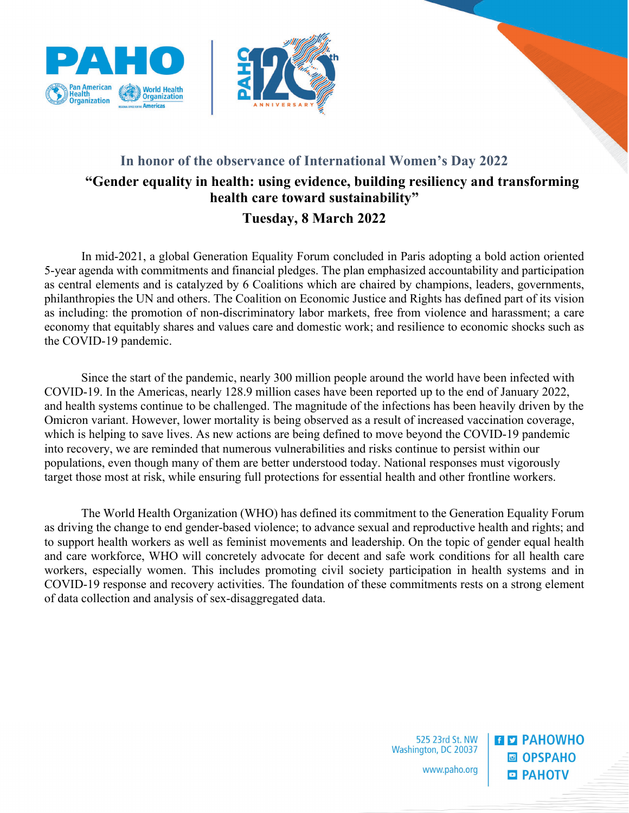



## **In honor of the observance of International Women's Day 2022 "Gender equality in health: using evidence, building resiliency and transforming health care toward sustainability" Tuesday, 8 March 2022**

In mid-2021, a global Generation Equality Forum concluded in Paris adopting a bold action oriented 5-year agenda with commitments and financial pledges. The plan emphasized accountability and participation as central elements and is catalyzed by 6 Coalitions which are chaired by champions, leaders, governments, philanthropies the UN and others. The Coalition on Economic Justice and Rights has defined part of its vision as including: the promotion of non-discriminatory labor markets, free from violence and harassment; a care economy that equitably shares and values care and domestic work; and resilience to economic shocks such as the COVID-19 pandemic.

Since the start of the pandemic, nearly 300 million people around the world have been infected with COVID-19. In the Americas, nearly 128.9 million cases have been reported up to the end of January 2022, and health systems continue to be challenged. The magnitude of the infections has been heavily driven by the Omicron variant. However, lower mortality is being observed as a result of increased vaccination coverage, which is helping to save lives. As new actions are being defined to move beyond the COVID-19 pandemic into recovery, we are reminded that numerous vulnerabilities and risks continue to persist within our populations, even though many of them are better understood today. National responses must vigorously target those most at risk, while ensuring full protections for essential health and other frontline workers.

The World Health Organization (WHO) has defined its commitment to the Generation Equality Forum as driving the change to end gender-based violence; to advance sexual and reproductive health and rights; and to support health workers as well as feminist movements and leadership. On the topic of gender equal health and care workforce, WHO will concretely advocate for decent and safe work conditions for all health care workers, especially women. This includes promoting civil society participation in health systems and in COVID-19 response and recovery activities. The foundation of these commitments rests on a strong element of data collection and analysis of sex-disaggregated data.

> 525 23rd St. NW Washington, DC 20037 www.paho.org

**ELET PAHOWHO ■ OPSPAHO • РАНОТУ**